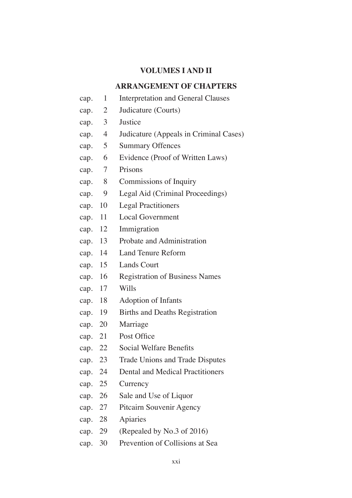### **VOLUMES I AND II**

#### **ARRANGEMENT OF CHAPTERS**

- cap. 1 Interpretation and General Clauses
- cap. 2 Judicature (Courts)
- cap. 3 Justice
- cap. 4 Judicature (Appeals in Criminal Cases)
- cap. 5 Summary Offences
- cap. 6 Evidence (Proof of Written Laws)
- cap. 7 Prisons
- cap. 8 Commissions of Inquiry
- cap. 9 Legal Aid (Criminal Proceedings)
- cap. 10 Legal Practitioners
- cap. 11 Local Government
- cap. 12 Immigration
- cap. 13 Probate and Administration
- cap. 14 Land Tenure Reform
- cap. 15 Lands Court
- cap. 16 Registration of Business Names
- cap. 17 Wills
- cap. 18 Adoption of Infants
- cap. 19 Births and Deaths Registration
- cap. 20 Marriage
- cap. 21 Post Office
- cap. 22 Social Welfare Benefts
- cap. 23 Trade Unions and Trade Disputes
- cap. 24 Dental and Medical Practitioners
- cap. 25 Currency
- cap. 26 Sale and Use of Liquor
- cap. 27 Pitcairn Souvenir Agency
- cap. 28 Apiaries
- cap. 29 (Repealed by No.3 of 2016)
- cap. 30 Prevention of Collisions at Sea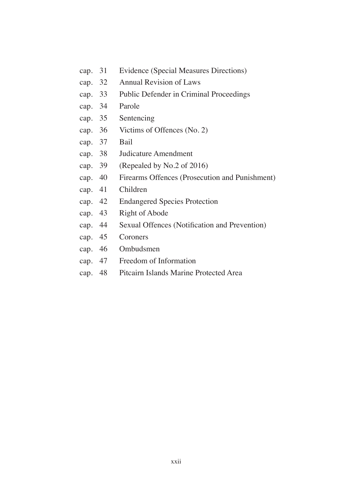- cap. 31 Evidence (Special Measures Directions)
- cap. 32 Annual Revision of Laws
- cap. 33 Public Defender in Criminal Proceedings
- cap. 34 Parole
- cap. 35 Sentencing
- cap. 36 Victims of Offences (No. 2)
- cap. 37 Bail
- cap. 38 Judicature Amendment
- cap. 39 (Repealed by No.2 of 2016)
- cap. 40 Firearms Offences (Prosecution and Punishment)
- cap. 41 Children
- cap. 42 Endangered Species Protection
- cap. 43 Right of Abode
- cap. 44 Sexual Offences (Notifcation and Prevention)
- cap. 45 Coroners
- cap. 46 Ombudsmen
- cap. 47 Freedom of Information
- cap. 48 Pitcairn Islands Marine Protected Area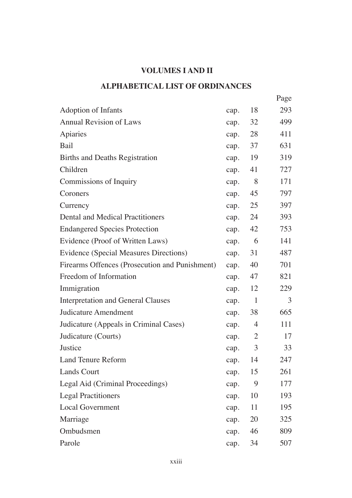# **VOLUMES I AND II**

## **ALPHABETICAL LIST OF ORDINANCES**

|                                                |      |                | Page |
|------------------------------------------------|------|----------------|------|
| <b>Adoption of Infants</b>                     | cap. | 18             | 293  |
| <b>Annual Revision of Laws</b>                 | cap. | 32             | 499  |
| Apiaries                                       | cap. | 28             | 411  |
| Bail                                           | cap. | 37             | 631  |
| <b>Births and Deaths Registration</b>          | cap. | 19             | 319  |
| Children                                       | cap. | 41             | 727  |
| Commissions of Inquiry                         | cap. | 8              | 171  |
| Coroners                                       | cap. | 45             | 797  |
| Currency                                       | cap. | 25             | 397  |
| <b>Dental and Medical Practitioners</b>        | cap. | 24             | 393  |
| <b>Endangered Species Protection</b>           | cap. | 42             | 753  |
| Evidence (Proof of Written Laws)               | cap. | -6             | 141  |
| <b>Evidence (Special Measures Directions)</b>  | cap. | 31             | 487  |
| Firearms Offences (Prosecution and Punishment) | cap. | 40             | 701  |
| Freedom of Information                         | cap. | 47             | 821  |
| Immigration                                    | cap. | 12             | 229  |
| <b>Interpretation and General Clauses</b>      | cap. | $\mathbf{1}$   | 3    |
| <b>Judicature Amendment</b>                    | cap. | 38             | 665  |
| Judicature (Appeals in Criminal Cases)         | cap. | 4              | 111  |
| Judicature (Courts)                            | cap. | $\overline{2}$ | 17   |
| Justice                                        | cap. | 3              | 33   |
| <b>Land Tenure Reform</b>                      | cap. | 14             | 247  |
| <b>Lands Court</b>                             | cap. | 15             | 261  |
| Legal Aid (Criminal Proceedings)               | cap. | 9              | 177  |
| <b>Legal Practitioners</b>                     | cap. | 10             | 193  |
| <b>Local Government</b>                        | cap. | 11             | 195  |
| Marriage                                       | cap. | 20             | 325  |
| Ombudsmen                                      | cap. | 46             | 809  |
| Parole                                         | cap. | 34             | 507  |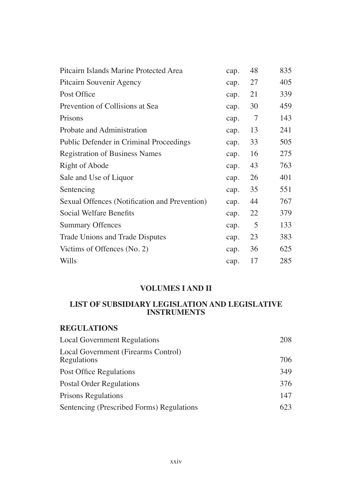| Pitcairn Islands Marine Protected Area         | cap. | 48 | 835 |
|------------------------------------------------|------|----|-----|
| Pitcairn Souvenir Agency                       | cap. | 27 | 405 |
| Post Office                                    | cap. | 21 | 339 |
| Prevention of Collisions at Sea                | cap. | 30 | 459 |
| Prisons                                        | cap. | 7  | 143 |
| Probate and Administration                     | cap. | 13 | 241 |
| <b>Public Defender in Criminal Proceedings</b> | cap. | 33 | 505 |
| <b>Registration of Business Names</b>          | cap. | 16 | 275 |
| Right of Abode                                 | cap. | 43 | 763 |
| Sale and Use of Liquor                         | cap. | 26 | 401 |
| Sentencing                                     | cap. | 35 | 551 |
| Sexual Offences (Notification and Prevention)  | cap. | 44 | 767 |
| Social Welfare Benefits                        | cap. | 22 | 379 |
| <b>Summary Offences</b>                        | cap. | 5  | 133 |
| <b>Trade Unions and Trade Disputes</b>         | cap. | 23 | 383 |
| Victims of Offences (No. 2)                    | cap. | 36 | 625 |
| Wills                                          | cap. | 17 | 285 |

### **VOLUMES I AND II**

### **LIST OF SUBSIDIARY LEGISLATION AND LEGISLATIVE INSTRUMENTS**

### **REGULATIONS**

| <b>Local Government Regulations</b>                | 208 |
|----------------------------------------------------|-----|
| Local Government (Firearms Control)<br>Regulations | 706 |
| Post Office Regulations                            | 349 |
| <b>Postal Order Regulations</b>                    | 376 |
| <b>Prisons Regulations</b>                         | 147 |
| Sentencing (Prescribed Forms) Regulations          | 623 |